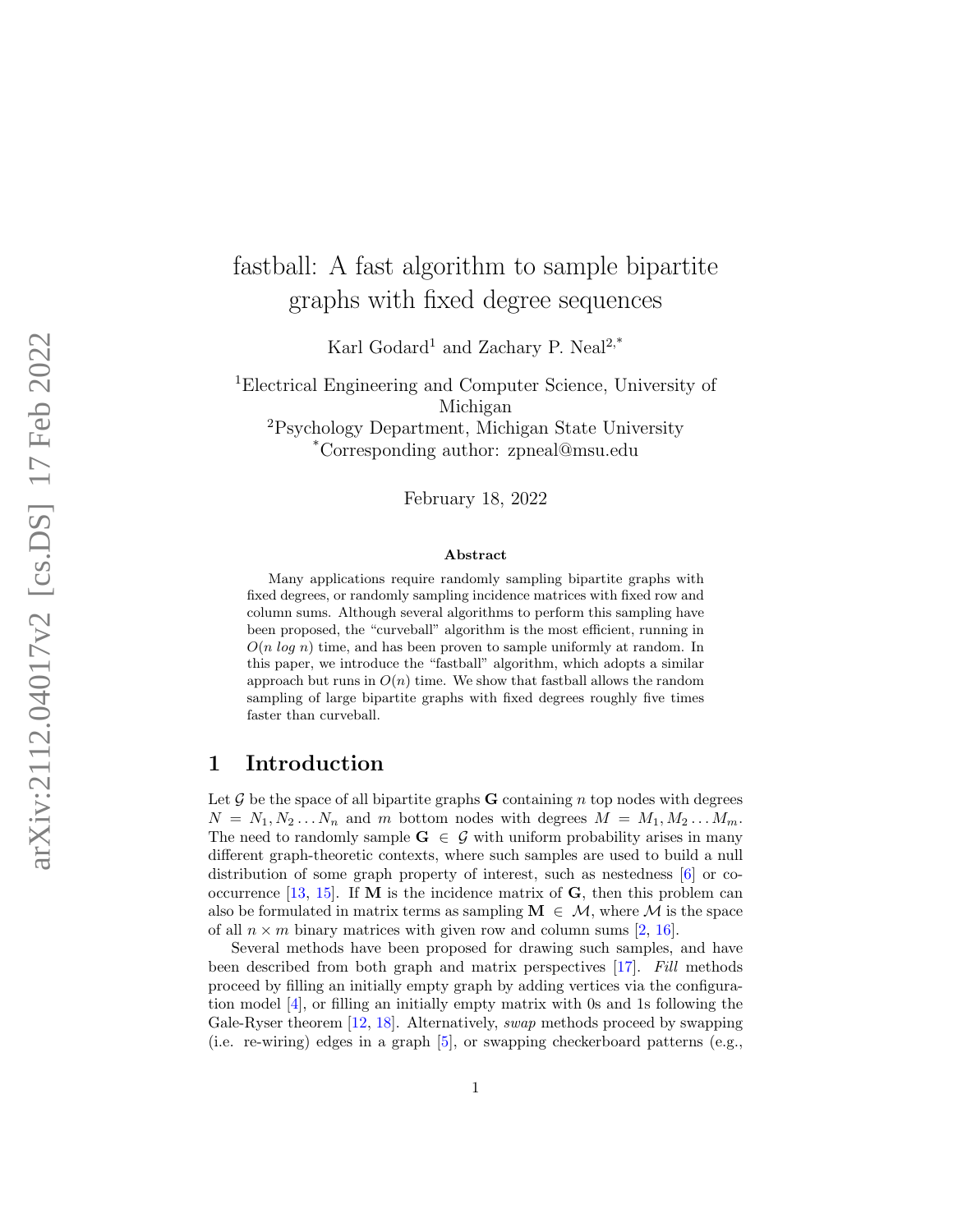# fastball: A fast algorithm to sample bipartite graphs with fixed degree sequences

Karl Godard<sup>1</sup> and Zachary P. Neal<sup>2,\*</sup>

<sup>1</sup>Electrical Engineering and Computer Science, University of Michigan <sup>2</sup>Psychology Department, Michigan State University \*Corresponding author: zpneal@msu.edu

February 18, 2022

#### Abstract

Many applications require randomly sampling bipartite graphs with fixed degrees, or randomly sampling incidence matrices with fixed row and column sums. Although several algorithms to perform this sampling have been proposed, the "curveball" algorithm is the most efficient, running in  $O(n \log n)$  time, and has been proven to sample uniformly at random. In this paper, we introduce the "fastball" algorithm, which adopts a similar approach but runs in  $O(n)$  time. We show that fastball allows the random sampling of large bipartite graphs with fixed degrees roughly five times faster than curveball.

### 1 Introduction

Let  $\mathcal G$  be the space of all bipartite graphs **G** containing n top nodes with degrees  $N = N_1, N_2...N_n$  and m bottom nodes with degrees  $M = M_1, M_2...M_m$ . The need to randomly sample  $G \in \mathcal{G}$  with uniform probability arises in many different graph-theoretic contexts, where such samples are used to build a null distribution of some graph property of interest, such as nestedness [ [6\]](#page-6-0) or co-occurrence [\[13,](#page-7-0) [15\]](#page-7-1). If **M** is the incidence matrix of **G**, then this problem can also be formulated in matrix terms as sampling  $\mathbf{M} \in \mathcal{M}$ , where M is the space of all  $n \times m$  binary matrices with given row and column sums [[2](#page-6-1), [16\]](#page-7-2).

Several methods have been proposed for drawing such samples, and have been described from both graph and matrix perspectives [\[17\]](#page-7-3). Fill methods proceed by filling an initially empty graph by adding vertices via the configuration model [\[4\]](#page-6-2), or filling an initially empty matrix with 0s and 1s following the Gale-Ryser theorem [\[12](#page-7-4), [18\]](#page-7-5). Alternatively, *swap* methods proceed by swapping (i.e. re-wiring) edges in a graph [ [5\]](#page-6-3), or swapping checkerboard patterns (e.g.,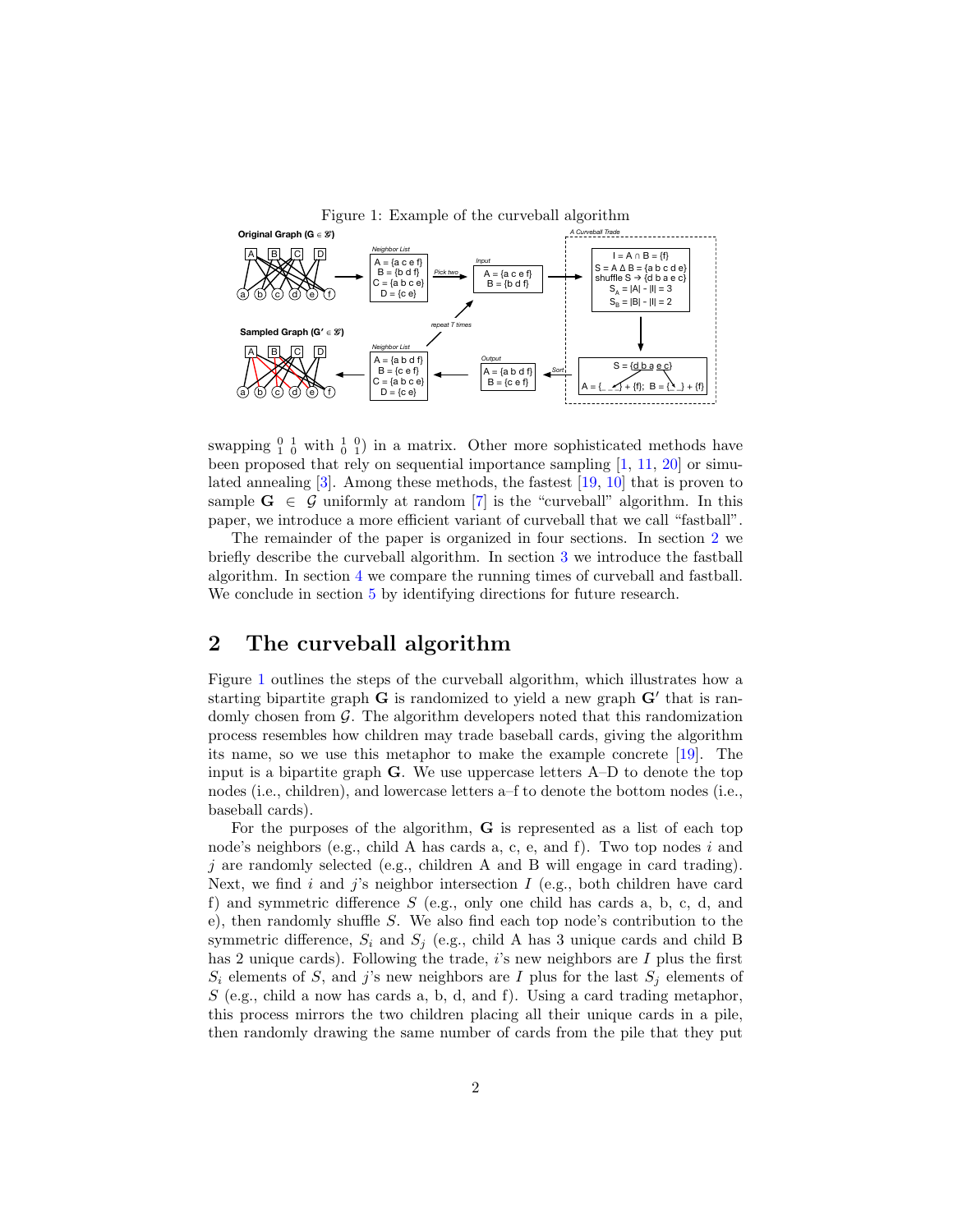<span id="page-1-1"></span>

swapping  $\frac{0}{1}$   $\frac{1}{0}$  with  $\frac{1}{0}$   $\frac{0}{1}$  in a matrix. Other more sophisticated methods have been proposed that rely on sequential importance sampling [\[1,](#page-6-4) [11,](#page-7-6) [20\]](#page-8-0) or simulated annealing [\[3\]](#page-6-5). Among these methods, the fastest [\[19,](#page-8-1) [10\]](#page-7-7) that is proven to sample  $G \in \mathcal{G}$  uniformly at random [\[7\]](#page-6-6) is the "curveball" algorithm. In this paper, we introduce a more efficient variant of curveball that we call "fastball".

The remainder of the paper is organized in four sections. In section [2](#page-1-0) we briefly describe the curveball algorithm. In section [3](#page-2-0) we introduce the fastball algorithm. In section [4](#page-4-0) we compare the running times of curveball and fastball. We conclude in section [5](#page-5-0) by identifying directions for future research.

# <span id="page-1-0"></span>2 The curveball algorithm

Figure [1](#page-1-1) outlines the steps of the curveball algorithm, which illustrates how a starting bipartite graph  $G$  is randomized to yield a new graph  $G'$  that is randomly chosen from  $\mathcal G$ . The algorithm developers noted that this randomization process resembles how children may trade baseball cards, giving the algorithm its name, so we use this metaphor to make the example concrete [\[19\]](#page-8-1). The input is a bipartite graph G. We use uppercase letters A–D to denote the top nodes (i.e., children), and lowercase letters a–f to denote the bottom nodes (i.e., baseball cards).

For the purposes of the algorithm, G is represented as a list of each top node's neighbors (e.g., child A has cards a, c, e, and f). Two top nodes i and j are randomly selected (e.g., children A and B will engage in card trading). Next, we find i and j's neighbor intersection  $I$  (e.g., both children have card f) and symmetric difference  $S$  (e.g., only one child has cards a, b, c, d, and e), then randomly shuffle S. We also find each top node's contribution to the symmetric difference,  $S_i$  and  $S_j$  (e.g., child A has 3 unique cards and child B has 2 unique cards). Following the trade,  $i$ 's new neighbors are  $I$  plus the first  $S_i$  elements of S, and j's new neighbors are I plus for the last  $S_j$  elements of  $S$  (e.g., child a now has cards a, b, d, and f). Using a card trading metaphor, this process mirrors the two children placing all their unique cards in a pile, then randomly drawing the same number of cards from the pile that they put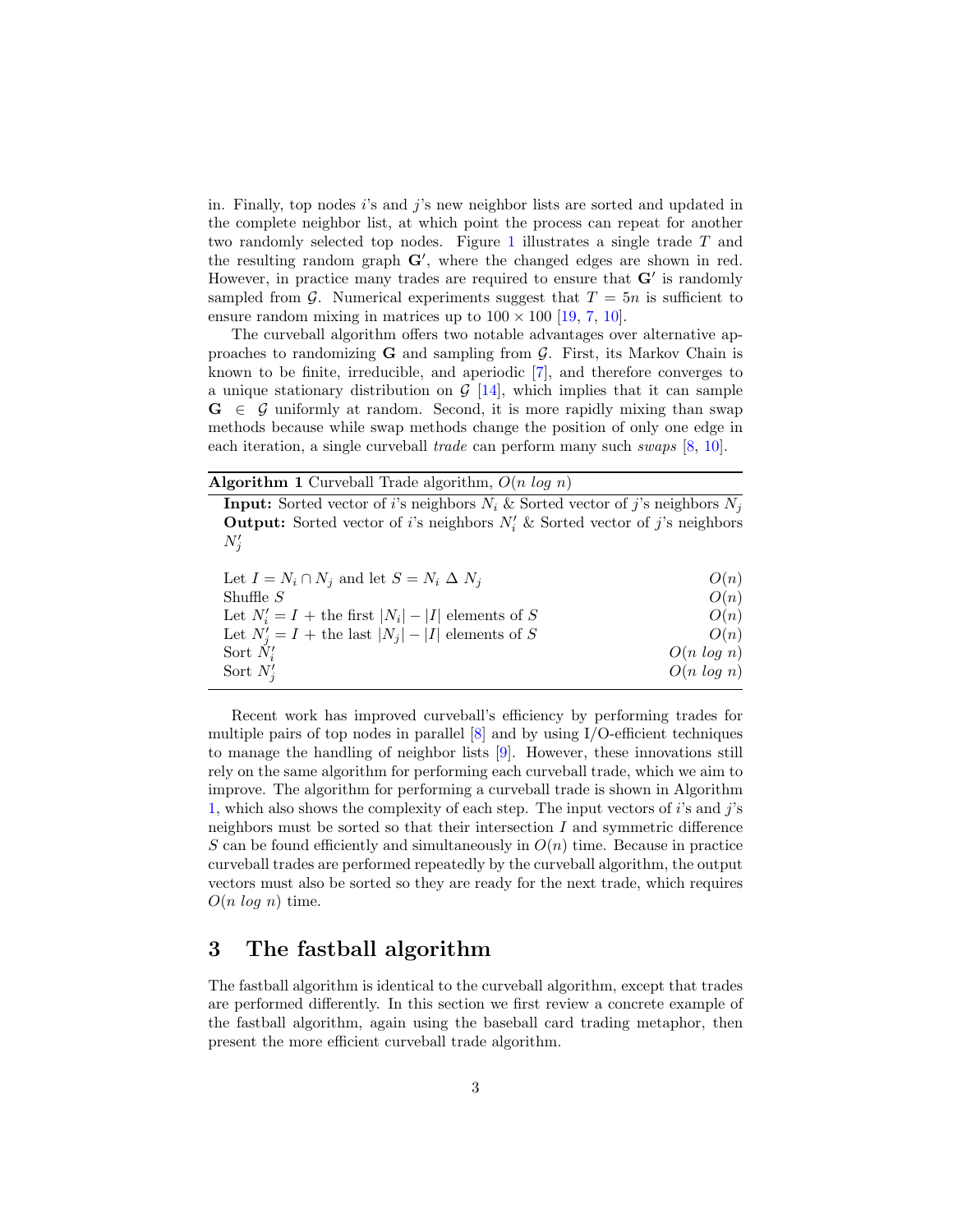in. Finally, top nodes i's and j's new neighbor lists are sorted and updated in the complete neighbor list, at which point the process can repeat for another two randomly selected top nodes. Figure [1](#page-1-1) illustrates a single trade T and the resulting random graph  $G'$ , where the changed edges are shown in red. However, in practice many trades are required to ensure that  $G'$  is randomly sampled from  $\mathcal G$ . Numerical experiments suggest that  $T = 5n$  is sufficient to ensure random mixing in matrices up to  $100 \times 100$  [\[19,](#page-8-1) [7,](#page-6-6) [10\]](#page-7-7).

The curveball algorithm offers two notable advantages over alternative approaches to randomizing  $G$  and sampling from  $G$ . First, its Markov Chain is known to be finite, irreducible, and aperiodic [\[7\]](#page-6-6), and therefore converges to a unique stationary distribution on  $G$  [\[14\]](#page-7-8), which implies that it can sample  $G \in \mathcal{G}$  uniformly at random. Second, it is more rapidly mixing than swap methods because while swap methods change the position of only one edge in each iteration, a single curveball trade can perform many such swaps [\[8,](#page-7-9) [10\]](#page-7-7).

Algorithm 1 Curveball Trade algorithm,  $O(n \log n)$ 

<span id="page-2-1"></span>**Input:** Sorted vector of i's neighbors  $N_i$  & Sorted vector of j's neighbors  $N_j$ **Output:** Sorted vector of *i*'s neighbors  $N_i'$  & Sorted vector of *j*'s neighbors  $N_j'$ 

| Let $I = N_i \cap N_j$ and let $S = N_i \Delta N_j$    | O(n)          |
|--------------------------------------------------------|---------------|
| Shuffle $S$                                            | O(n)          |
| Let $N'_i = I$ + the first $ N_i  -  I $ elements of S | O(n)          |
| Let $N'_i = I$ + the last $ N_i  -  I $ elements of S  | O(n)          |
| Sort $N_i'$                                            | $O(n \log n)$ |
| Sort $N_i'$                                            | $O(n \log n)$ |

Recent work has improved curveball's efficiency by performing trades for multiple pairs of top nodes in parallel [\[8\]](#page-7-9) and by using I/O-efficient techniques to manage the handling of neighbor lists [\[9\]](#page-7-10). However, these innovations still rely on the same algorithm for performing each curveball trade, which we aim to improve. The algorithm for performing a curveball trade is shown in Algorithm [1,](#page-2-1) which also shows the complexity of each step. The input vectors of i's and j's neighbors must be sorted so that their intersection  $I$  and symmetric difference S can be found efficiently and simultaneously in  $O(n)$  time. Because in practice curveball trades are performed repeatedly by the curveball algorithm, the output vectors must also be sorted so they are ready for the next trade, which requires  $O(n \log n)$  time.

#### <span id="page-2-0"></span>3 The fastball algorithm

The fastball algorithm is identical to the curveball algorithm, except that trades are performed differently. In this section we first review a concrete example of the fastball algorithm, again using the baseball card trading metaphor, then present the more efficient curveball trade algorithm.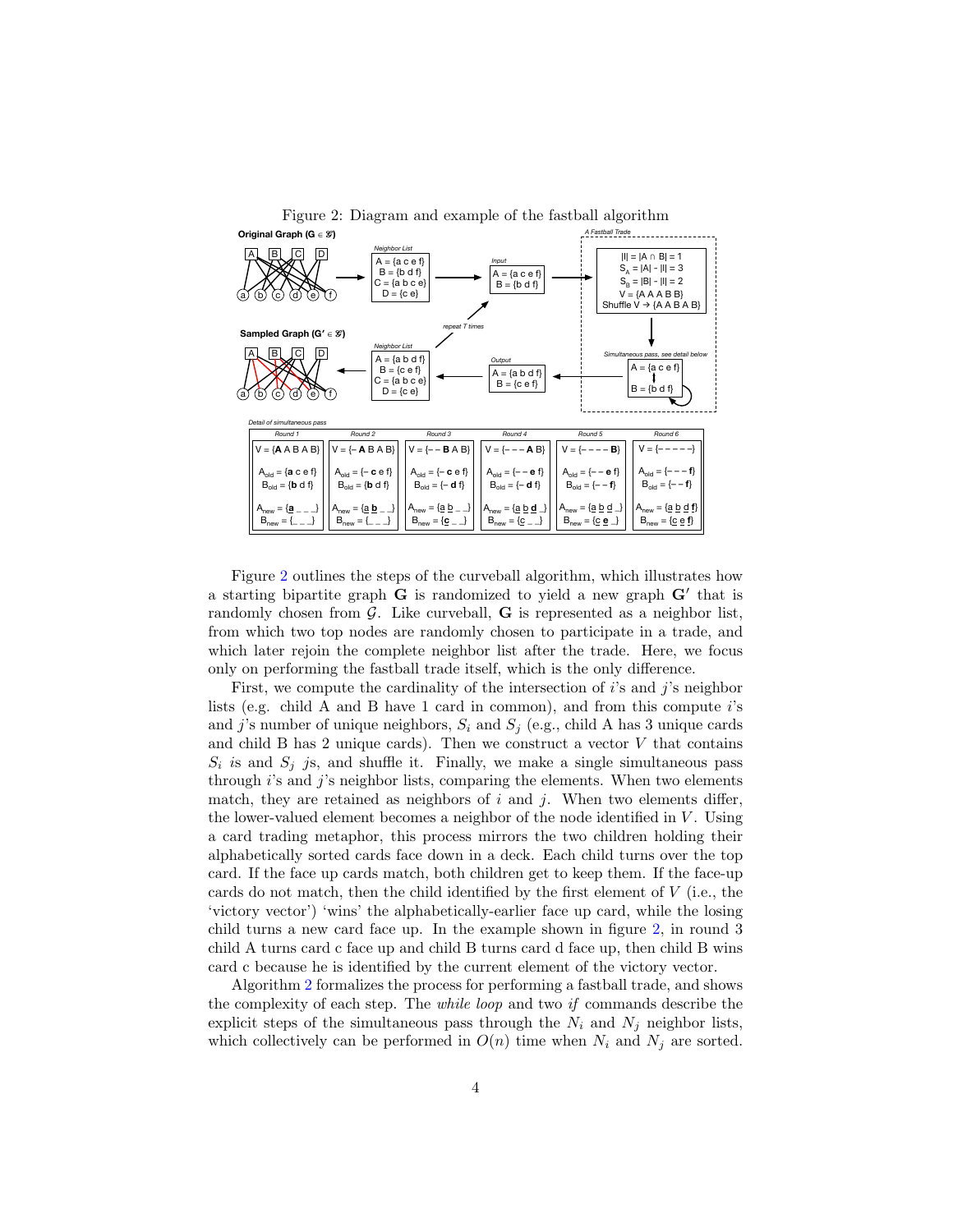<span id="page-3-0"></span>

Figure 2: Diagram and example of the fastball algorithm

Figure [2](#page-3-0) outlines the steps of the curveball algorithm, which illustrates how a starting bipartite graph  $G$  is randomized to yield a new graph  $G'$  that is randomly chosen from  $\mathcal G$ . Like curveball,  $G$  is represented as a neighbor list, from which two top nodes are randomly chosen to participate in a trade, and which later rejoin the complete neighbor list after the trade. Here, we focus only on performing the fastball trade itself, which is the only difference.

First, we compute the cardinality of the intersection of i's and j's neighbor lists (e.g. child A and B have 1 card in common), and from this compute  $i$ 's and j's number of unique neighbors,  $S_i$  and  $S_j$  (e.g., child A has 3 unique cards and child B has 2 unique cards). Then we construct a vector  $V$  that contains  $S_i$  is and  $S_j$  js, and shuffle it. Finally, we make a single simultaneous pass through  $i$ 's and  $j$ 's neighbor lists, comparing the elements. When two elements match, they are retained as neighbors of  $i$  and  $j$ . When two elements differ, the lower-valued element becomes a neighbor of the node identified in  $V$ . Using a card trading metaphor, this process mirrors the two children holding their alphabetically sorted cards face down in a deck. Each child turns over the top card. If the face up cards match, both children get to keep them. If the face-up cards do not match, then the child identified by the first element of  $V$  (i.e., the 'victory vector') 'wins' the alphabetically-earlier face up card, while the losing child turns a new card face up. In the example shown in figure [2,](#page-3-0) in round 3 child A turns card c face up and child B turns card d face up, then child B wins card c because he is identified by the current element of the victory vector.

Algorithm [2](#page-4-1) formalizes the process for performing a fastball trade, and shows the complexity of each step. The while loop and two if commands describe the explicit steps of the simultaneous pass through the  $N_i$  and  $N_j$  neighbor lists, which collectively can be performed in  $O(n)$  time when  $N_i$  and  $N_j$  are sorted.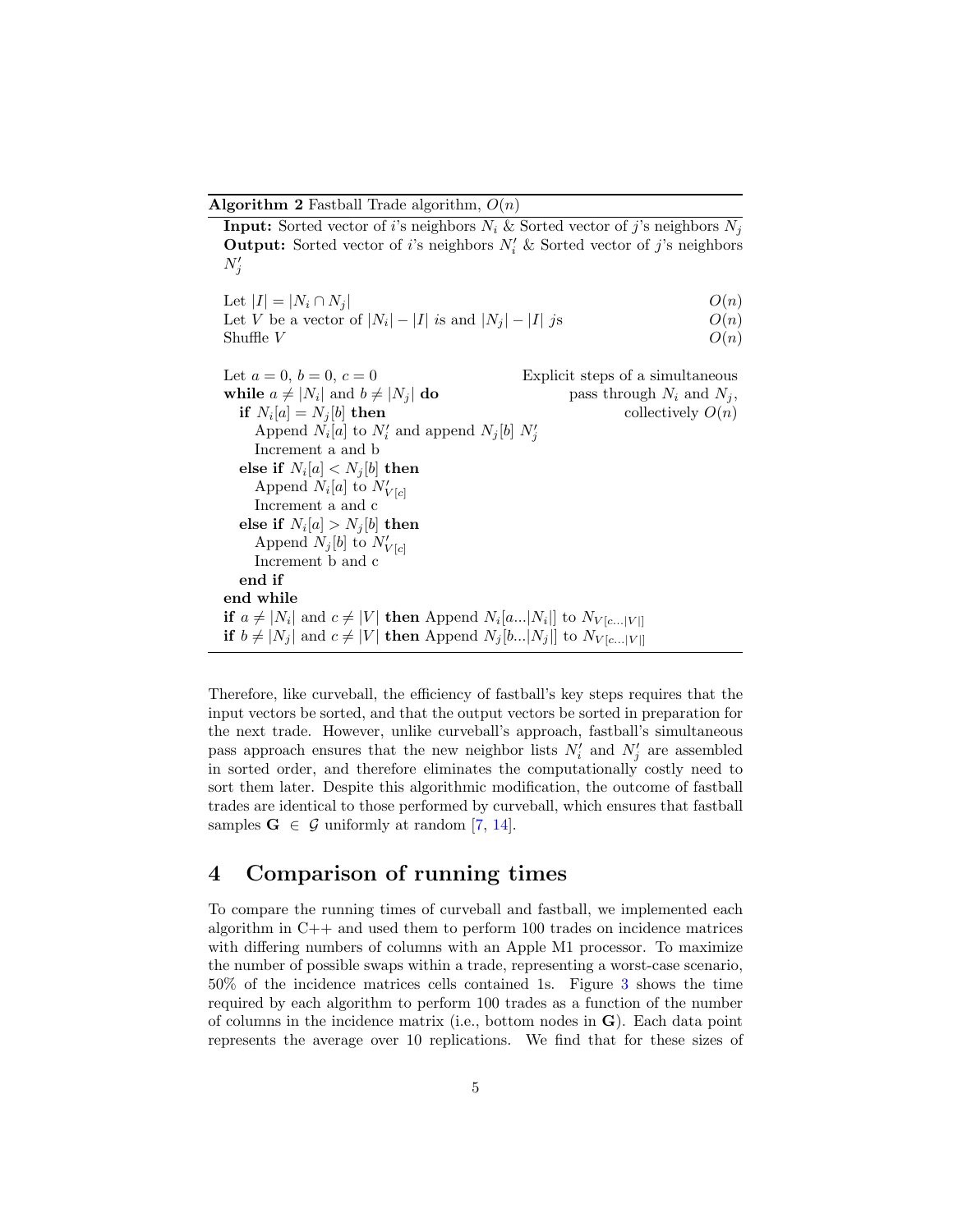**Algorithm 2** Fastball Trade algorithm,  $O(n)$ 

<span id="page-4-1"></span>**Input:** Sorted vector of i's neighbors  $N_i$  & Sorted vector of j's neighbors  $N_i$ **Output:** Sorted vector of *i*'s neighbors  $N_i'$  & Sorted vector of *j*'s neighbors  $N_j'$ 

| Let $ I  =  N_i \cap N_j $                                 | O(n) |
|------------------------------------------------------------|------|
| Let V be a vector of $ N_i  -  I $ is and $ N_i  -  I $ js | O(n) |
| Shuffle $V$                                                | O(n) |

Let  $a = 0, b = 0, c = 0$  Explicit steps of a simultaneous while  $a \neq |N_i|$  and  $b \neq |N_i|$  do pass through  $N_i$  and  $N_j$ , if  $N_i[a] = N_j[b]$  then collectively  $O(n)$ Append  $N_i[a]$  to  $N'_i$  and append  $N_j[b]$   $N'_j$ Increment a and b else if  $N_i[a] < N_j[b]$  then Append  $N_i[a]$  to  $N'_{V[c]}$ Increment a and c else if  $N_i[a]>N_j[b]$  then Append  $N_j[b]$  to  $N'_{V[c]}$ Increment b and c end if end while if  $a \neq |N_i|$  and  $c \neq |V|$  then Append  $N_i[a...|N_i]|$  to  $N_{V[c...|V]|}$ if  $b \neq |N_j|$  and  $c \neq |V|$  then Append  $N_j [b...|N_j|]$  to  $N_{V[c...|V]}$ 

Therefore, like curveball, the efficiency of fastball's key steps requires that the input vectors be sorted, and that the output vectors be sorted in preparation for the next trade. However, unlike curveball's approach, fastball's simultaneous pass approach ensures that the new neighbor lists  $N_i'$  and  $N_j'$  are assembled in sorted order, and therefore eliminates the computationally costly need to sort them later. Despite this algorithmic modification, the outcome of fastball trades are identical to those performed by curveball, which ensures that fastball samples  $G \in \mathcal{G}$  uniformly at random [\[7,](#page-6-6) [14\]](#page-7-8).

#### <span id="page-4-0"></span>4 Comparison of running times

To compare the running times of curveball and fastball, we implemented each algorithm in  $C++$  and used them to perform 100 trades on incidence matrices with differing numbers of columns with an Apple M1 processor. To maximize the number of possible swaps within a trade, representing a worst-case scenario, 50% of the incidence matrices cells contained 1s. Figure [3](#page-5-1) shows the time required by each algorithm to perform 100 trades as a function of the number of columns in the incidence matrix (i.e., bottom nodes in G). Each data point represents the average over 10 replications. We find that for these sizes of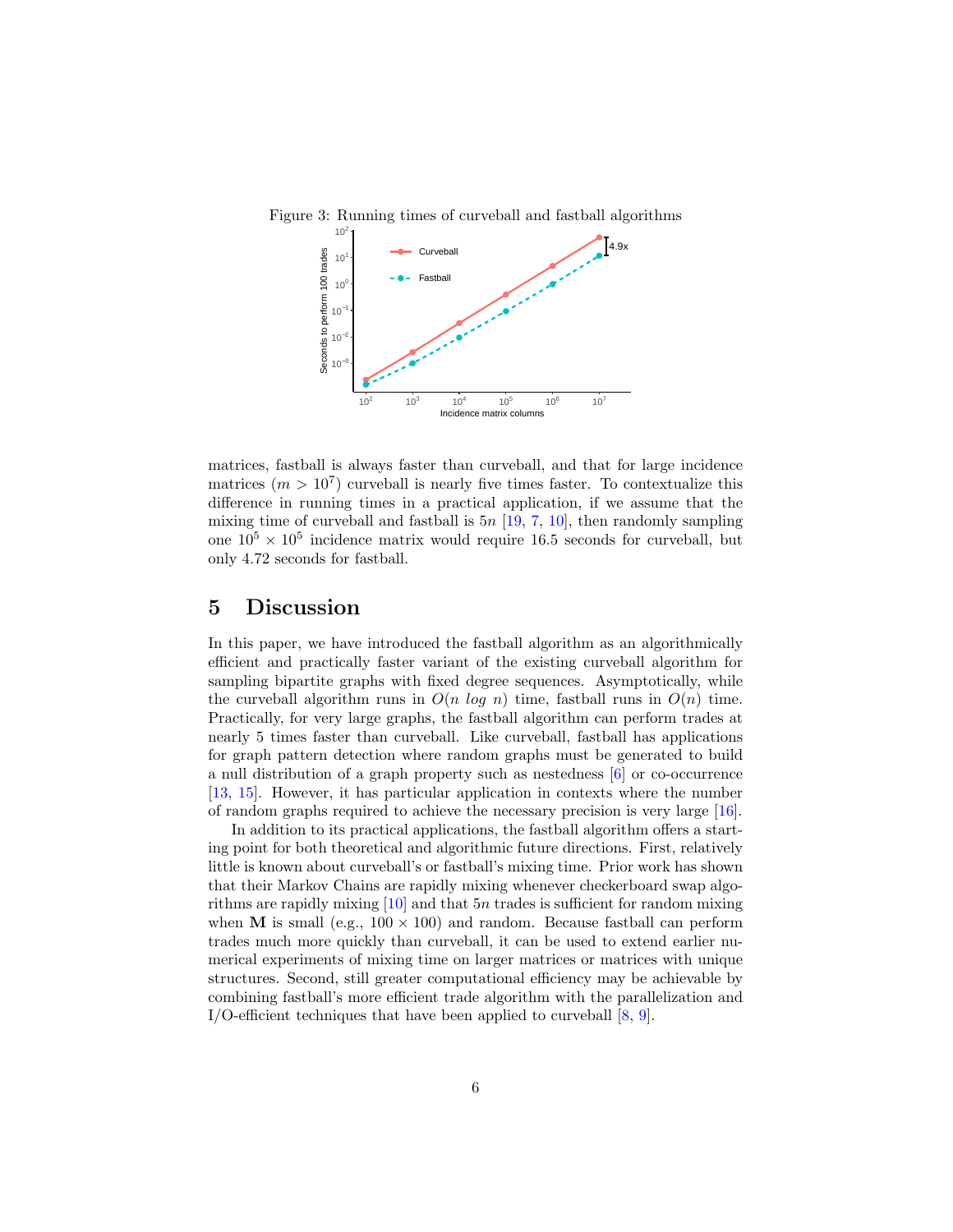<span id="page-5-1"></span>

matrices, fastball is always faster than curveball, and that for large incidence matrices  $(m > 10<sup>7</sup>)$  curveball is nearly five times faster. To contextualize this difference in running times in a practical application, if we assume that the mixing time of curveball and fastball is  $5n$  [\[19,](#page-8-1) [7,](#page-6-6) [10\]](#page-7-7), then randomly sampling one  $10^5 \times 10^5$  incidence matrix would require 16.5 seconds for curveball, but only 4.72 seconds for fastball.

#### <span id="page-5-0"></span>5 Discussion

In this paper, we have introduced the fastball algorithm as an algorithmically efficient and practically faster variant of the existing curveball algorithm for sampling bipartite graphs with fixed degree sequences. Asymptotically, while the curveball algorithm runs in  $O(n \log n)$  time, fastball runs in  $O(n)$  time. Practically, for very large graphs, the fastball algorithm can perform trades at nearly 5 times faster than curveball. Like curveball, fastball has applications for graph pattern detection where random graphs must be generated to build a null distribution of a graph property such as nestedness [\[6\]](#page-6-0) or co-occurrence [\[13,](#page-7-0) [15\]](#page-7-1). However, it has particular application in contexts where the number of random graphs required to achieve the necessary precision is very large [\[16\]](#page-7-2).

In addition to its practical applications, the fastball algorithm offers a starting point for both theoretical and algorithmic future directions. First, relatively little is known about curveball's or fastball's mixing time. Prior work has shown that their Markov Chains are rapidly mixing whenever checkerboard swap algorithms are rapidly mixing  $[10]$  and that 5n trades is sufficient for random mixing when **M** is small (e.g.,  $100 \times 100$ ) and random. Because fastball can perform trades much more quickly than curveball, it can be used to extend earlier numerical experiments of mixing time on larger matrices or matrices with unique structures. Second, still greater computational efficiency may be achievable by combining fastball's more efficient trade algorithm with the parallelization and I/O-efficient techniques that have been applied to curveball  $[8, 9]$  $[8, 9]$  $[8, 9]$ .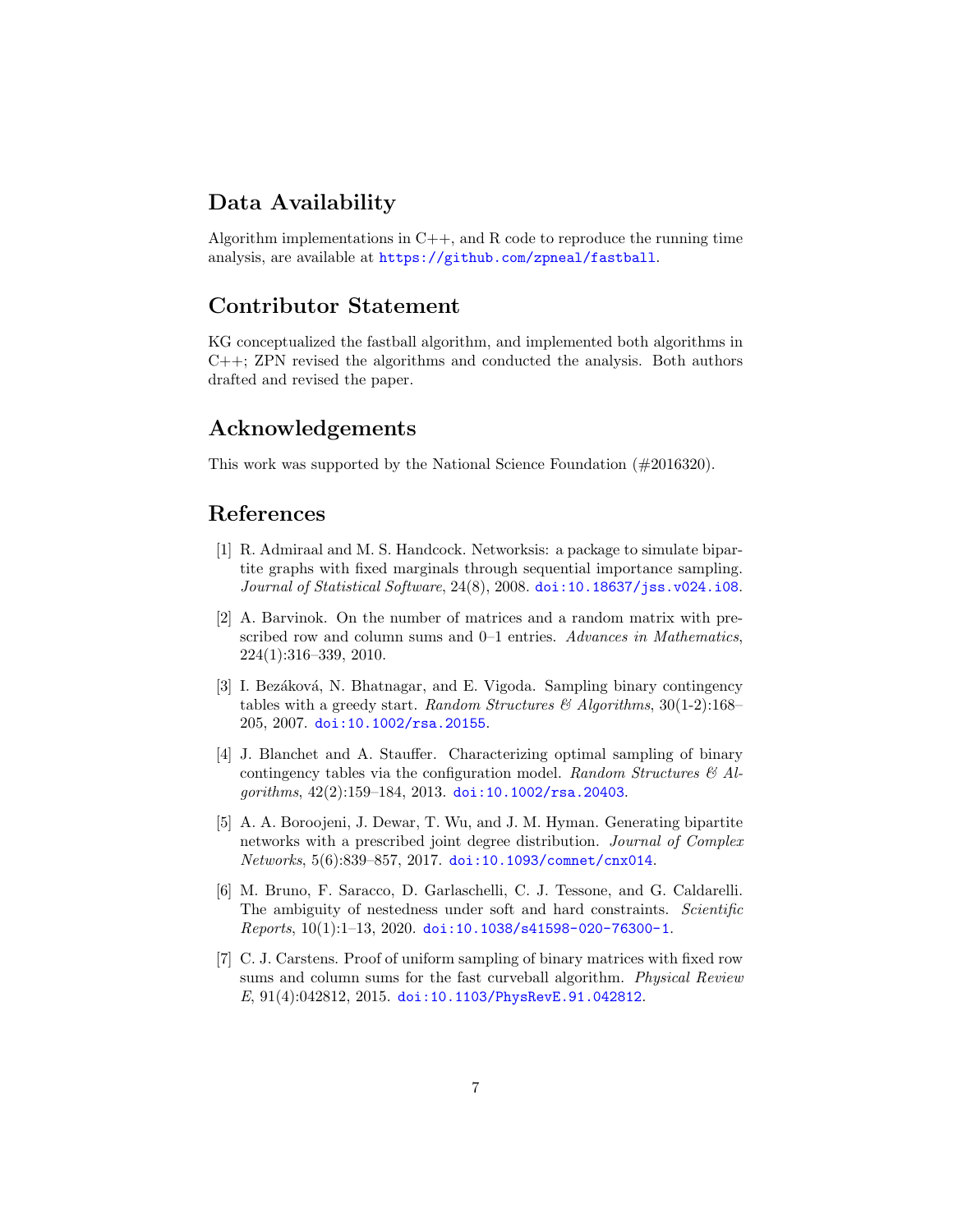### Data Availability

Algorithm implementations in  $C++$ , and R code to reproduce the running time analysis, are available at <https://github.com/zpneal/fastball>.

#### Contributor Statement

KG conceptualized the fastball algorithm, and implemented both algorithms in C++; ZPN revised the algorithms and conducted the analysis. Both authors drafted and revised the paper.

#### Acknowledgements

This work was supported by the National Science Foundation (#2016320).

# References

- <span id="page-6-4"></span>[1] R. Admiraal and M. S. Handcock. Networksis: a package to simulate bipartite graphs with fixed marginals through sequential importance sampling. Journal of Statistical Software, 24(8), 2008. [doi:10.18637/jss.v024.i08](https://doi.org/10.18637/jss.v024.i08).
- <span id="page-6-1"></span>[2] A. Barvinok. On the number of matrices and a random matrix with prescribed row and column sums and 0–1 entries. Advances in Mathematics, 224(1):316–339, 2010.
- <span id="page-6-5"></span>[3] I. Bezáková, N. Bhatnagar, and E. Vigoda. Sampling binary contingency tables with a greedy start. Random Structures & Algorithms,  $30(1-2):168-$ 205, 2007. [doi:10.1002/rsa.20155](https://doi.org/10.1002/rsa.20155).
- <span id="page-6-2"></span>[4] J. Blanchet and A. Stauffer. Characterizing optimal sampling of binary contingency tables via the configuration model. Random Structures  $\mathcal{B}$  Al $gorithms, 42(2):159-184, 2013.$  [doi:10.1002/rsa.20403](https://doi.org/10.1002/rsa.20403).
- <span id="page-6-3"></span>[5] A. A. Boroojeni, J. Dewar, T. Wu, and J. M. Hyman. Generating bipartite networks with a prescribed joint degree distribution. Journal of Complex Networks, 5(6):839–857, 2017. [doi:10.1093/comnet/cnx014](https://doi.org/10.1093/comnet/cnx014).
- <span id="page-6-0"></span>[6] M. Bruno, F. Saracco, D. Garlaschelli, C. J. Tessone, and G. Caldarelli. The ambiguity of nestedness under soft and hard constraints. Scientific  $Reports, 10(1):1-13, 2020.$  [doi:10.1038/s41598-020-76300-1](https://doi.org/10.1038/s41598-020-76300-1).
- <span id="page-6-6"></span>[7] C. J. Carstens. Proof of uniform sampling of binary matrices with fixed row sums and column sums for the fast curveball algorithm. *Physical Review* E, 91(4):042812, 2015. [doi:10.1103/PhysRevE.91.042812](https://doi.org/10.1103/PhysRevE.91.042812).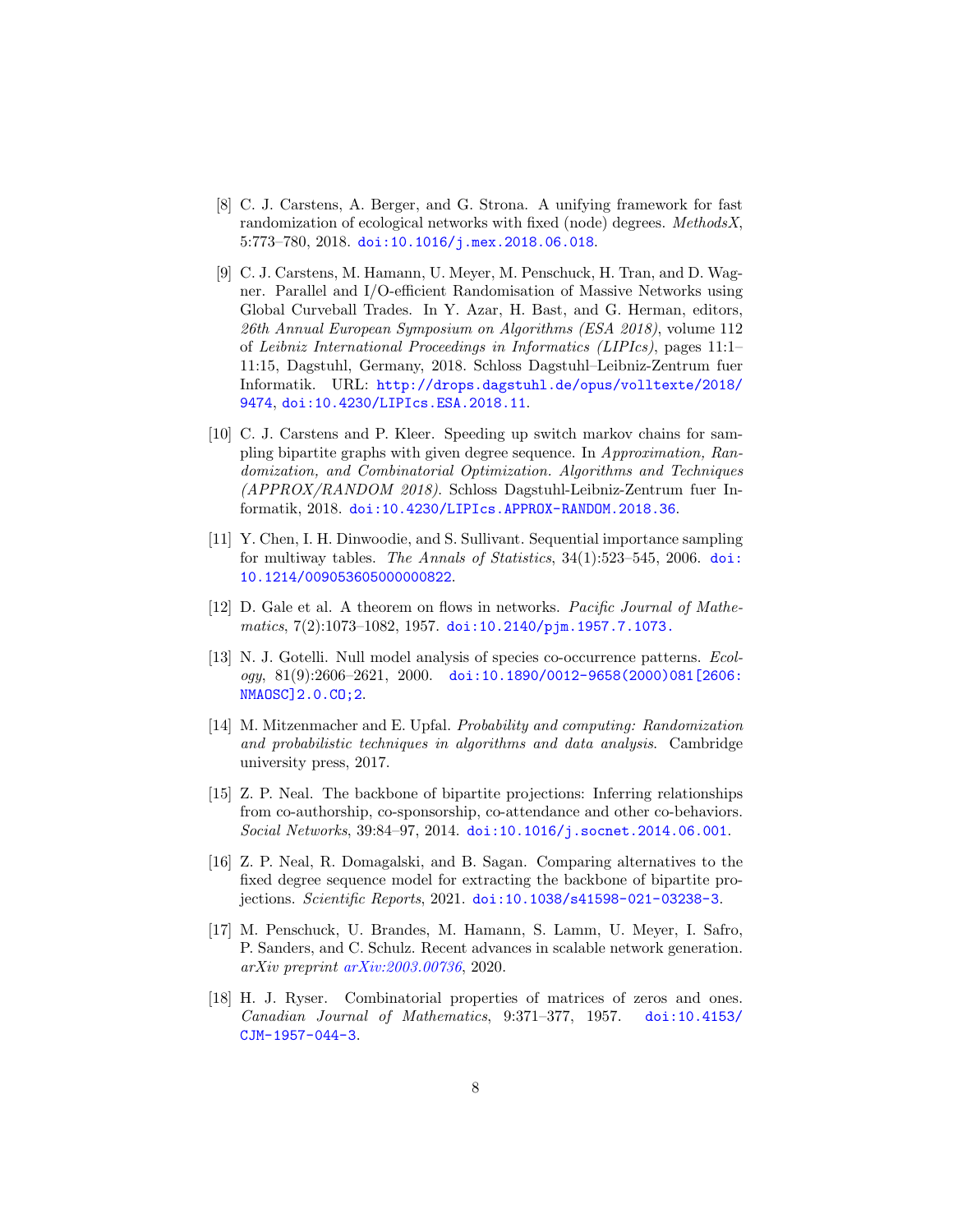- <span id="page-7-9"></span>[8] C. J. Carstens, A. Berger, and G. Strona. A unifying framework for fast randomization of ecological networks with fixed (node) degrees. MethodsX, 5:773–780, 2018. [doi:10.1016/j.mex.2018.06.018](https://doi.org/10.1016/j.mex.2018.06.018).
- <span id="page-7-10"></span>[9] C. J. Carstens, M. Hamann, U. Meyer, M. Penschuck, H. Tran, and D. Wagner. Parallel and I/O-efficient Randomisation of Massive Networks using Global Curveball Trades. In Y. Azar, H. Bast, and G. Herman, editors, 26th Annual European Symposium on Algorithms (ESA 2018), volume 112 of Leibniz International Proceedings in Informatics (LIPIcs), pages 11:1– 11:15, Dagstuhl, Germany, 2018. Schloss Dagstuhl–Leibniz-Zentrum fuer Informatik. URL: [http://drops.dagstuhl.de/opus/volltexte/2018/](http://drops.dagstuhl.de/opus/volltexte/2018/9474) [9474](http://drops.dagstuhl.de/opus/volltexte/2018/9474), [doi:10.4230/LIPIcs.ESA.2018.11](https://doi.org/10.4230/LIPIcs.ESA.2018.11).
- <span id="page-7-7"></span>[10] C. J. Carstens and P. Kleer. Speeding up switch markov chains for sampling bipartite graphs with given degree sequence. In Approximation, Randomization, and Combinatorial Optimization. Algorithms and Techniques (APPROX/RANDOM 2018). Schloss Dagstuhl-Leibniz-Zentrum fuer Informatik, 2018. [doi:10.4230/LIPIcs.APPROX-RANDOM.2018.36](https://doi.org/10.4230/LIPIcs.APPROX-RANDOM.2018.36).
- <span id="page-7-6"></span>[11] Y. Chen, I. H. Dinwoodie, and S. Sullivant. Sequential importance sampling for multiway tables. The Annals of Statistics,  $34(1):523-545$ ,  $2006$ . [doi:](https://doi.org/10.1214/009053605000000822) [10.1214/009053605000000822](https://doi.org/10.1214/009053605000000822).
- <span id="page-7-4"></span>[12] D. Gale et al. A theorem on flows in networks. Pacific Journal of Mathe $matics, 7(2):1073-1082, 1957. \text{ doi: } 10.2140/\text{pjm}.1957.7.1073.$
- <span id="page-7-0"></span>[13] N. J. Gotelli. Null model analysis of species co-occurrence patterns. Ecol $ogy, 81(9):2606-2621, 2000.$  [doi:10.1890/0012-9658\(2000\)081\[2606:](https://doi.org/10.1890/0012-9658(2000)081[2606:NMAOSC]2.0.CO;2) [NMAOSC\]2.0.CO;2](https://doi.org/10.1890/0012-9658(2000)081[2606:NMAOSC]2.0.CO;2).
- <span id="page-7-8"></span>[14] M. Mitzenmacher and E. Upfal. Probability and computing: Randomization and probabilistic techniques in algorithms and data analysis. Cambridge university press, 2017.
- <span id="page-7-1"></span>[15] Z. P. Neal. The backbone of bipartite projections: Inferring relationships from co-authorship, co-sponsorship, co-attendance and other co-behaviors. Social Networks, 39:84–97, 2014. [doi:10.1016/j.socnet.2014.06.001](https://doi.org/10.1016/j.socnet.2014.06.001).
- <span id="page-7-2"></span>[16] Z. P. Neal, R. Domagalski, and B. Sagan. Comparing alternatives to the fixed degree sequence model for extracting the backbone of bipartite projections. Scientific Reports, 2021. [doi:10.1038/s41598-021-03238-3](https://doi.org/10.1038/s41598-021-03238-3).
- <span id="page-7-3"></span>[17] M. Penschuck, U. Brandes, M. Hamann, S. Lamm, U. Meyer, I. Safro, P. Sanders, and C. Schulz. Recent advances in scalable network generation. arXiv preprint [arXiv:2003.00736](http://arxiv.org/abs/2003.00736), 2020.
- <span id="page-7-5"></span>[18] H. J. Ryser. Combinatorial properties of matrices of zeros and ones. Canadian Journal of Mathematics, 9:371–377, 1957. [doi:10.4153/](https://doi.org/10.4153/CJM-1957-044-3) [CJM-1957-044-3](https://doi.org/10.4153/CJM-1957-044-3).